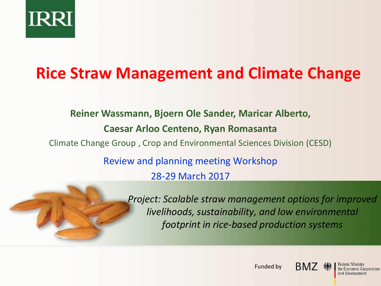

# **Rice Straw Management and Climate Change**

# **Reiner Wassmann, Bjoern Ole Sander, Maricar Alberto, Caesar Arloo Centeno, Ryan Romasanta**

Climate Change Group , Crop and Environmental Sciences Division (CESD)

Review and planning meeting Workshop 28-29 March 2017



*Project: Scalable straw management options for improved livelihoods, sustainability, and low environmental footprint in rice-based production systems*





Federal Ministry for Economic Cooperation and Development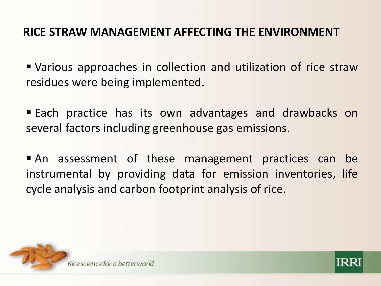## **RICE STRAW MANAGEMENT AFFECTING THE ENVIRONMENT**

 Various approaches in collection and utilization of rice straw residues were being implemented.

**Each practice has its own advantages and drawbacks on** several factors including greenhouse gas emissions.

 An assessment of these management practices can be instrumental by providing data for emission inventories, life cycle analysis and carbon footprint analysis of rice.



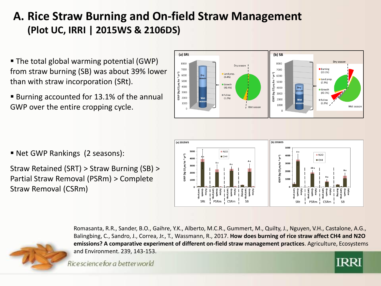# **A. Rice Straw Burning and On-field Straw Management (Plot UC, IRRI | 2015WS & 2106DS)**

- The total global warming potential (GWP) from straw burning (SB) was about 39% lower than with straw incorporation (SRt).
- Burning accounted for 13.1% of the annual GWP over the entire cropping cycle.
- (a) SRt  $(b)$  SB 8000 8000 Dry season **Burning** 7000 7000  $(13.1\%)$  $\overline{\xi}$  6000  $yr^{-1}$ Land prep **Dry** 6000  $(6.4%)$ Land prep  $25000$  $25000$  $(2.3%)$ (**kg CO**<sub>2</sub> 4000<br>3000 Growth  $CO<sub>2</sub>$ eq Dry  $(92.4% )$ 4000 Growth (kg  $(82.3%)$ 3000 **E** Fallow  $\frac{2000}{2000}$ GWP  $(1.2%)$ 2000 Wet  $\equiv$  Fallow 1000  $(2.3%)$ 1000 Wet season Wet season  $\Omega$

- Net GWP Rankings (2 seasons):
- Straw Retained (SRT) > Straw Burning (SB) > Partial Straw Removal (PSRm) > Complete Straw Removal (CSRm)





Romasanta, R.R., Sander, B.O., Gaihre, Y.K., Alberto, M.C.R., Gummert, M., Quilty, J., Nguyen, V.H., Castalone, A.G., Balingbing, C., Sandro, J., Correa, Jr., T., Wassmann, R., 2017. **How does burning of rice straw affect CH4 and N2O emissions? A comparative experiment of different on-field straw management practices**. Agriculture, Ecosystems and Environment. 239, 143-153.

Ricescience for a better world

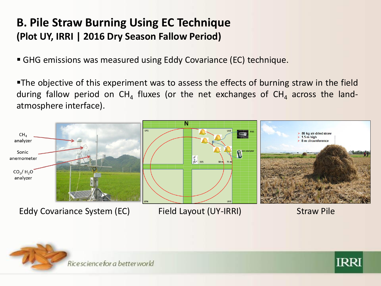## **B. Pile Straw Burning Using EC Technique (Plot UY, IRRI | 2016 Dry Season Fallow Period)**

GHG emissions was measured using Eddy Covariance (EC) technique.

The objective of this experiment was to assess the effects of burning straw in the field during fallow period on CH<sub>4</sub> fluxes (or the net exchanges of CH<sub>4</sub> across the landatmosphere interface).